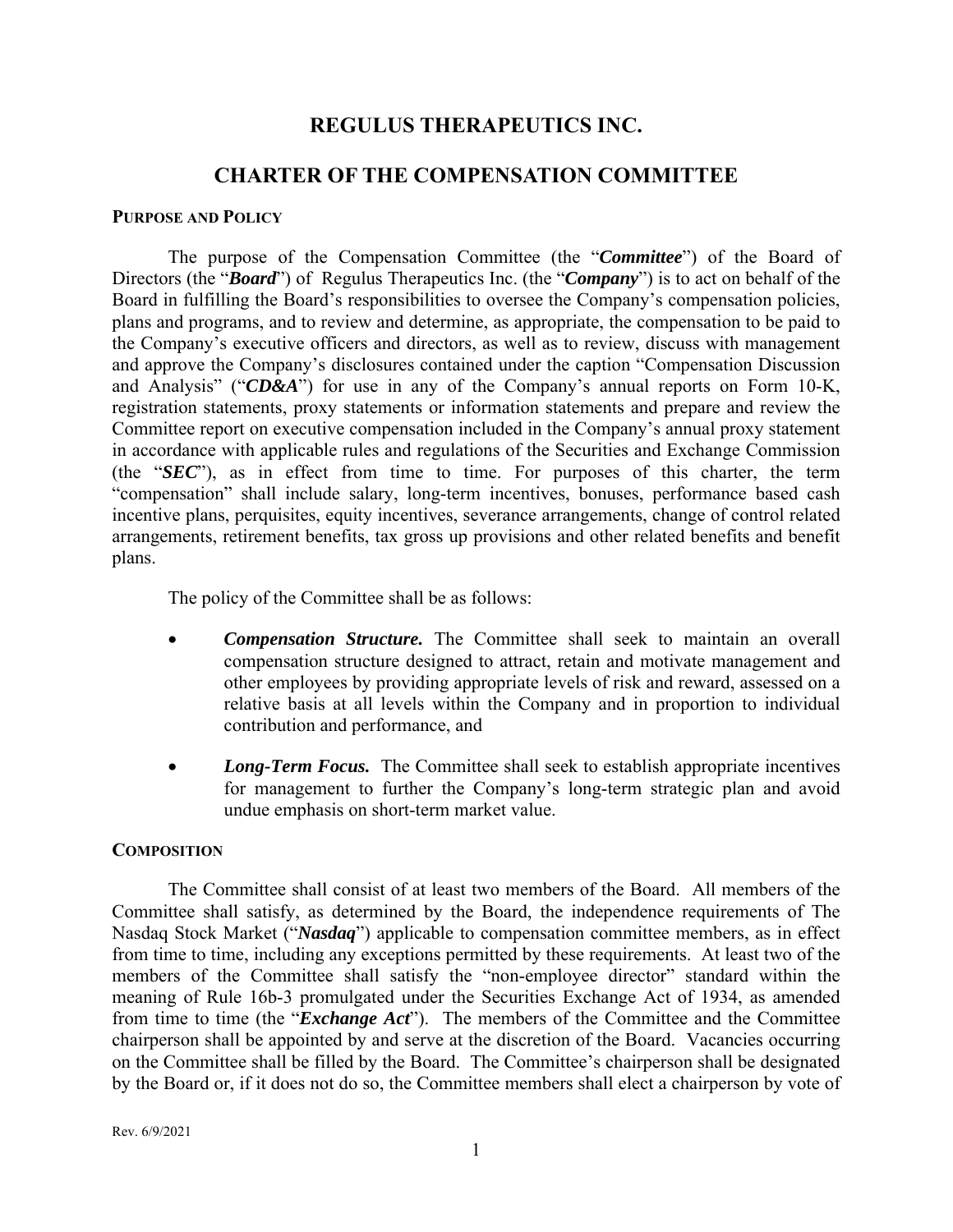# **REGULUS THERAPEUTICS INC.**

# **CHARTER OF THE COMPENSATION COMMITTEE**

### **PURPOSE AND POLICY**

The purpose of the Compensation Committee (the "*Committee*") of the Board of Directors (the "*Board*") of Regulus Therapeutics Inc. (the "*Company*") is to act on behalf of the Board in fulfilling the Board's responsibilities to oversee the Company's compensation policies, plans and programs, and to review and determine, as appropriate, the compensation to be paid to the Company's executive officers and directors, as well as to review, discuss with management and approve the Company's disclosures contained under the caption "Compensation Discussion and Analysis" ("*CD&A*") for use in any of the Company's annual reports on Form 10-K, registration statements, proxy statements or information statements and prepare and review the Committee report on executive compensation included in the Company's annual proxy statement in accordance with applicable rules and regulations of the Securities and Exchange Commission (the "*SEC*"), as in effect from time to time. For purposes of this charter, the term "compensation" shall include salary, long-term incentives, bonuses, performance based cash incentive plans, perquisites, equity incentives, severance arrangements, change of control related arrangements, retirement benefits, tax gross up provisions and other related benefits and benefit plans.

The policy of the Committee shall be as follows:

- *Compensation Structure.* The Committee shall seek to maintain an overall compensation structure designed to attract, retain and motivate management and other employees by providing appropriate levels of risk and reward, assessed on a relative basis at all levels within the Company and in proportion to individual contribution and performance, and
- *Long-Term Focus*. The Committee shall seek to establish appropriate incentives for management to further the Company's long-term strategic plan and avoid undue emphasis on short-term market value.

## **COMPOSITION**

The Committee shall consist of at least two members of the Board. All members of the Committee shall satisfy, as determined by the Board, the independence requirements of The Nasdaq Stock Market ("*Nasdaq*") applicable to compensation committee members, as in effect from time to time, including any exceptions permitted by these requirements. At least two of the members of the Committee shall satisfy the "non-employee director" standard within the meaning of Rule 16b-3 promulgated under the Securities Exchange Act of 1934, as amended from time to time (the "*Exchange Act*"). The members of the Committee and the Committee chairperson shall be appointed by and serve at the discretion of the Board. Vacancies occurring on the Committee shall be filled by the Board. The Committee's chairperson shall be designated by the Board or, if it does not do so, the Committee members shall elect a chairperson by vote of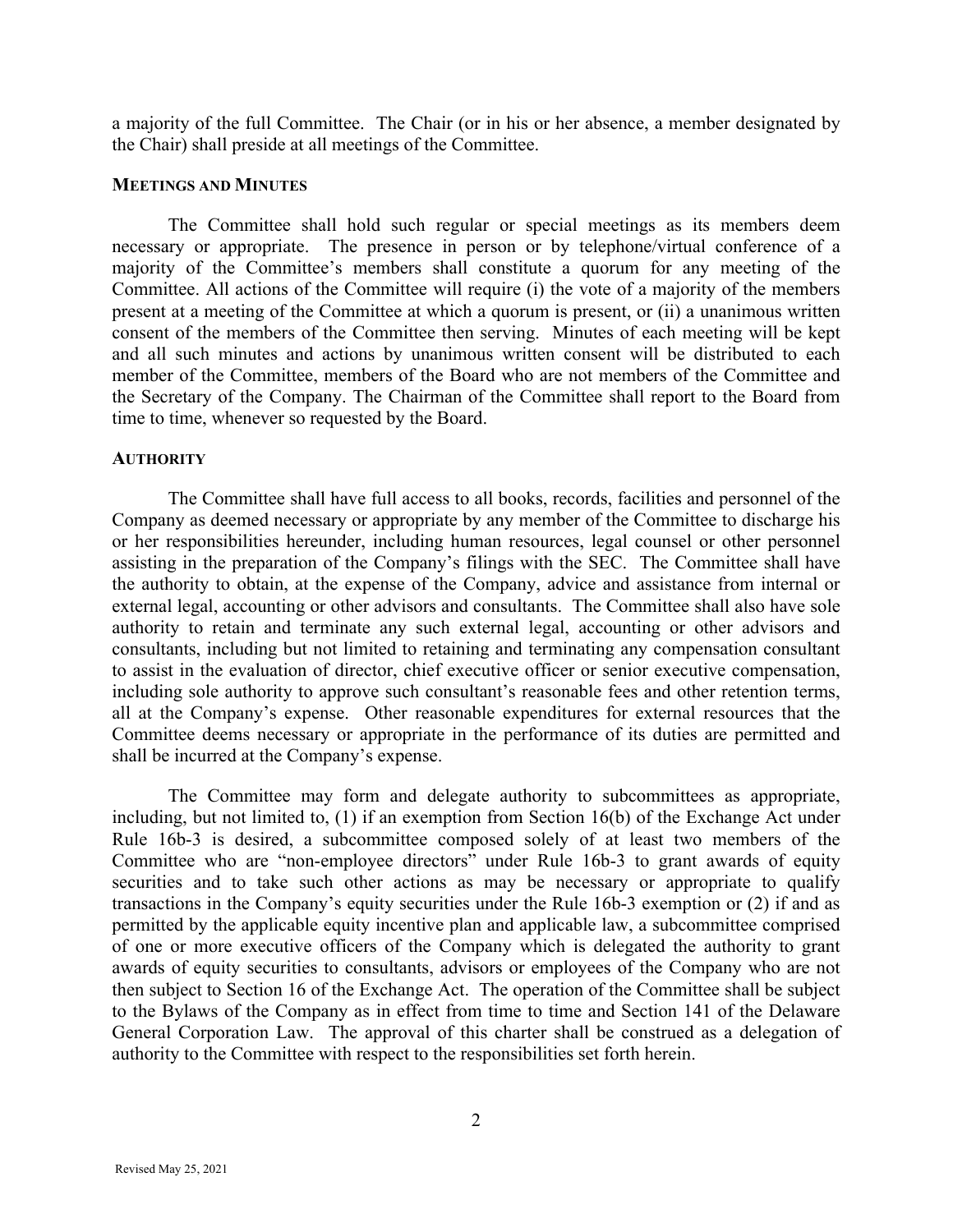a majority of the full Committee. The Chair (or in his or her absence, a member designated by the Chair) shall preside at all meetings of the Committee.

#### **MEETINGS AND MINUTES**

The Committee shall hold such regular or special meetings as its members deem necessary or appropriate. The presence in person or by telephone/virtual conference of a majority of the Committee's members shall constitute a quorum for any meeting of the Committee. All actions of the Committee will require (i) the vote of a majority of the members present at a meeting of the Committee at which a quorum is present, or (ii) a unanimous written consent of the members of the Committee then serving. Minutes of each meeting will be kept and all such minutes and actions by unanimous written consent will be distributed to each member of the Committee, members of the Board who are not members of the Committee and the Secretary of the Company. The Chairman of the Committee shall report to the Board from time to time, whenever so requested by the Board.

#### **AUTHORITY**

The Committee shall have full access to all books, records, facilities and personnel of the Company as deemed necessary or appropriate by any member of the Committee to discharge his or her responsibilities hereunder, including human resources, legal counsel or other personnel assisting in the preparation of the Company's filings with the SEC. The Committee shall have the authority to obtain, at the expense of the Company, advice and assistance from internal or external legal, accounting or other advisors and consultants. The Committee shall also have sole authority to retain and terminate any such external legal, accounting or other advisors and consultants, including but not limited to retaining and terminating any compensation consultant to assist in the evaluation of director, chief executive officer or senior executive compensation, including sole authority to approve such consultant's reasonable fees and other retention terms, all at the Company's expense. Other reasonable expenditures for external resources that the Committee deems necessary or appropriate in the performance of its duties are permitted and shall be incurred at the Company's expense.

The Committee may form and delegate authority to subcommittees as appropriate, including, but not limited to, (1) if an exemption from Section 16(b) of the Exchange Act under Rule 16b-3 is desired, a subcommittee composed solely of at least two members of the Committee who are "non-employee directors" under Rule 16b-3 to grant awards of equity securities and to take such other actions as may be necessary or appropriate to qualify transactions in the Company's equity securities under the Rule 16b-3 exemption or (2) if and as permitted by the applicable equity incentive plan and applicable law, a subcommittee comprised of one or more executive officers of the Company which is delegated the authority to grant awards of equity securities to consultants, advisors or employees of the Company who are not then subject to Section 16 of the Exchange Act. The operation of the Committee shall be subject to the Bylaws of the Company as in effect from time to time and Section 141 of the Delaware General Corporation Law. The approval of this charter shall be construed as a delegation of authority to the Committee with respect to the responsibilities set forth herein.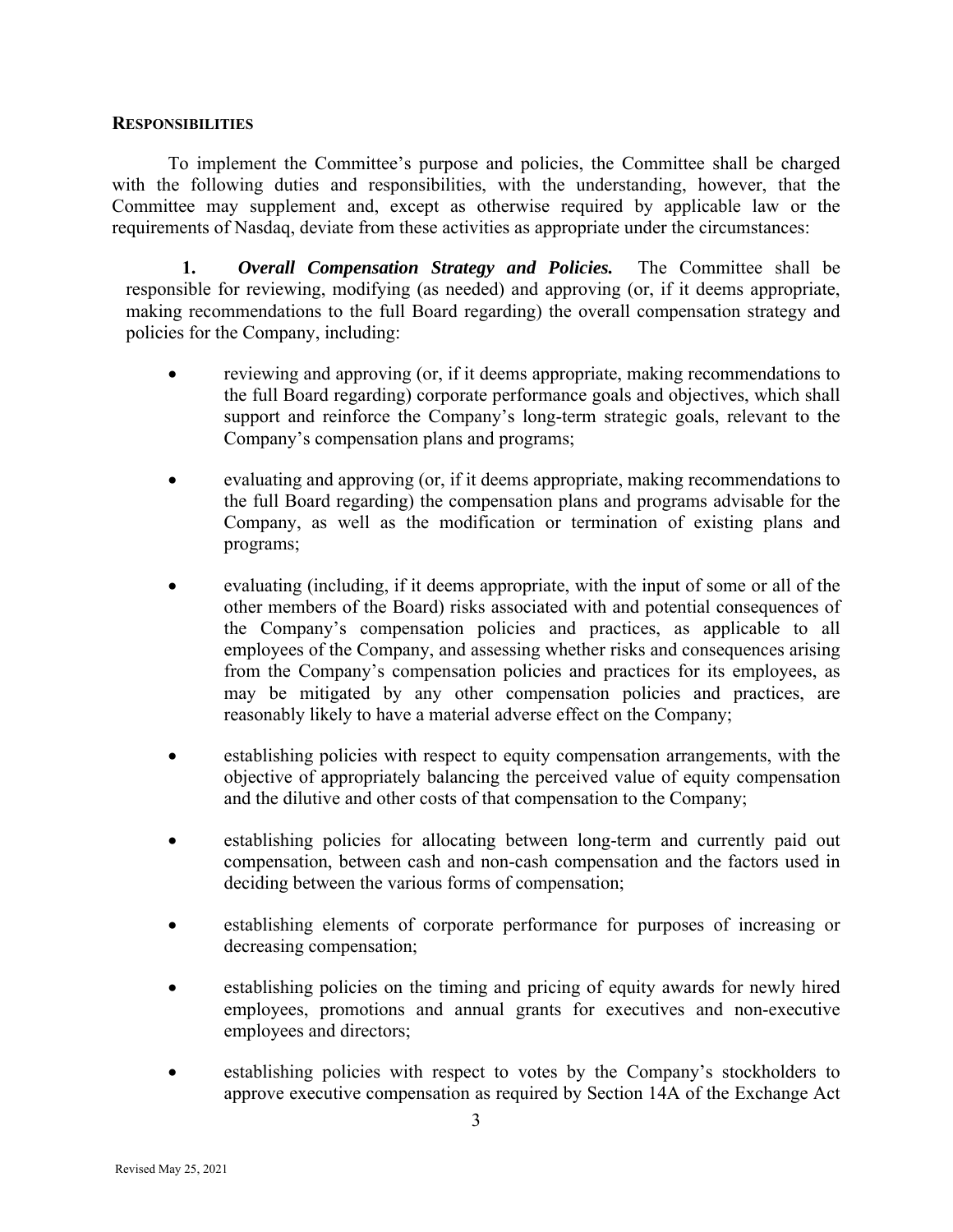### **RESPONSIBILITIES**

To implement the Committee's purpose and policies, the Committee shall be charged with the following duties and responsibilities, with the understanding, however, that the Committee may supplement and, except as otherwise required by applicable law or the requirements of Nasdaq, deviate from these activities as appropriate under the circumstances:

**1.** *Overall Compensation Strategy and Policies.* The Committee shall be responsible for reviewing, modifying (as needed) and approving (or, if it deems appropriate, making recommendations to the full Board regarding) the overall compensation strategy and policies for the Company, including:

- reviewing and approving (or, if it deems appropriate, making recommendations to the full Board regarding) corporate performance goals and objectives, which shall support and reinforce the Company's long-term strategic goals, relevant to the Company's compensation plans and programs;
- evaluating and approving (or, if it deems appropriate, making recommendations to the full Board regarding) the compensation plans and programs advisable for the Company, as well as the modification or termination of existing plans and programs;
- evaluating (including, if it deems appropriate, with the input of some or all of the other members of the Board) risks associated with and potential consequences of the Company's compensation policies and practices, as applicable to all employees of the Company, and assessing whether risks and consequences arising from the Company's compensation policies and practices for its employees, as may be mitigated by any other compensation policies and practices, are reasonably likely to have a material adverse effect on the Company;
- establishing policies with respect to equity compensation arrangements, with the objective of appropriately balancing the perceived value of equity compensation and the dilutive and other costs of that compensation to the Company;
- establishing policies for allocating between long-term and currently paid out compensation, between cash and non-cash compensation and the factors used in deciding between the various forms of compensation;
- establishing elements of corporate performance for purposes of increasing or decreasing compensation;
- establishing policies on the timing and pricing of equity awards for newly hired employees, promotions and annual grants for executives and non-executive employees and directors;
- establishing policies with respect to votes by the Company's stockholders to approve executive compensation as required by Section 14A of the Exchange Act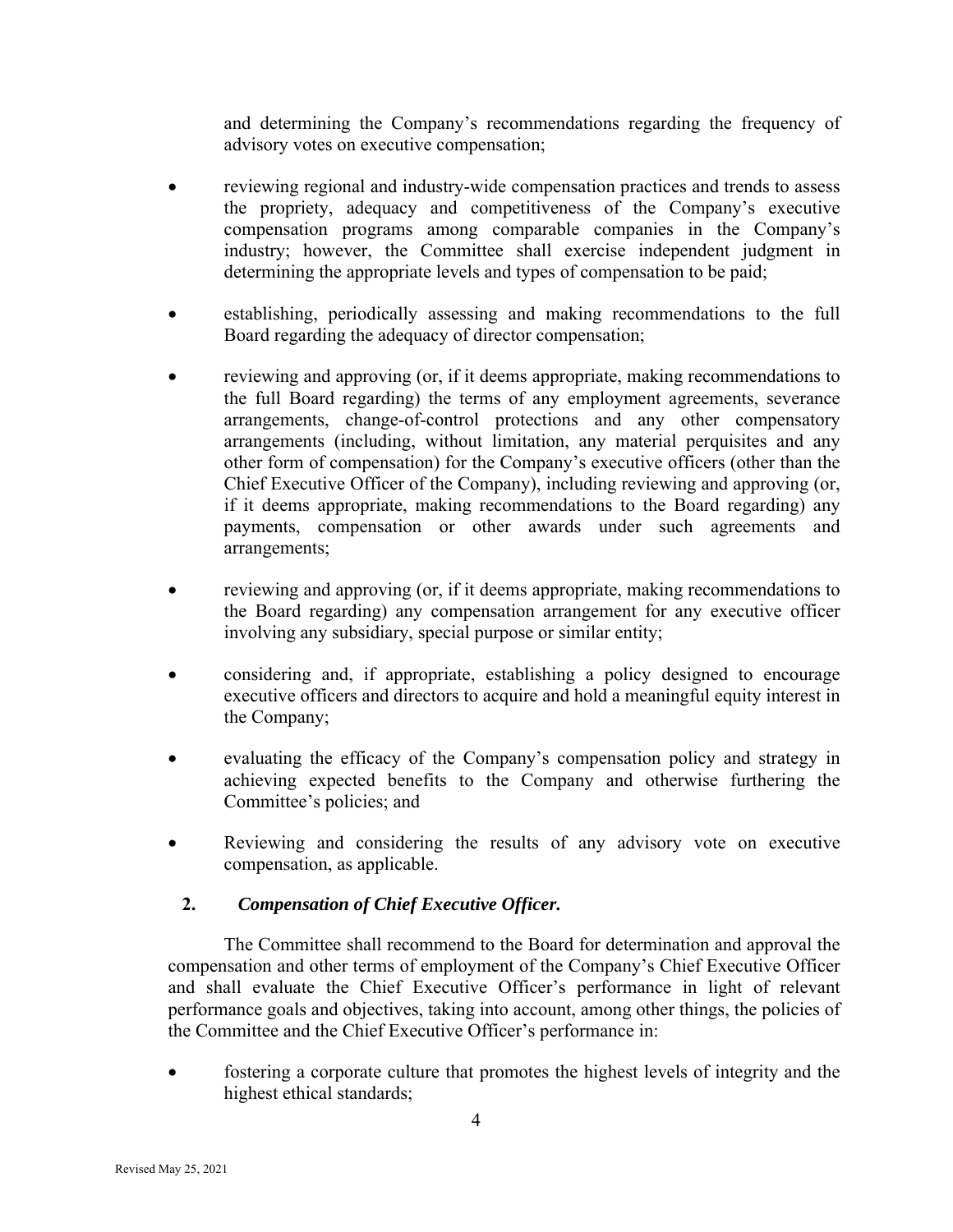and determining the Company's recommendations regarding the frequency of advisory votes on executive compensation;

- reviewing regional and industry-wide compensation practices and trends to assess the propriety, adequacy and competitiveness of the Company's executive compensation programs among comparable companies in the Company's industry; however, the Committee shall exercise independent judgment in determining the appropriate levels and types of compensation to be paid;
- establishing, periodically assessing and making recommendations to the full Board regarding the adequacy of director compensation;
- reviewing and approving (or, if it deems appropriate, making recommendations to the full Board regarding) the terms of any employment agreements, severance arrangements, change-of-control protections and any other compensatory arrangements (including, without limitation, any material perquisites and any other form of compensation) for the Company's executive officers (other than the Chief Executive Officer of the Company), including reviewing and approving (or, if it deems appropriate, making recommendations to the Board regarding) any payments, compensation or other awards under such agreements and arrangements;
- reviewing and approving (or, if it deems appropriate, making recommendations to the Board regarding) any compensation arrangement for any executive officer involving any subsidiary, special purpose or similar entity;
- considering and, if appropriate, establishing a policy designed to encourage executive officers and directors to acquire and hold a meaningful equity interest in the Company;
- evaluating the efficacy of the Company's compensation policy and strategy in achieving expected benefits to the Company and otherwise furthering the Committee's policies; and
- Reviewing and considering the results of any advisory vote on executive compensation, as applicable.

## **2.** *Compensation of Chief Executive Officer.*

The Committee shall recommend to the Board for determination and approval the compensation and other terms of employment of the Company's Chief Executive Officer and shall evaluate the Chief Executive Officer's performance in light of relevant performance goals and objectives, taking into account, among other things, the policies of the Committee and the Chief Executive Officer's performance in:

 fostering a corporate culture that promotes the highest levels of integrity and the highest ethical standards;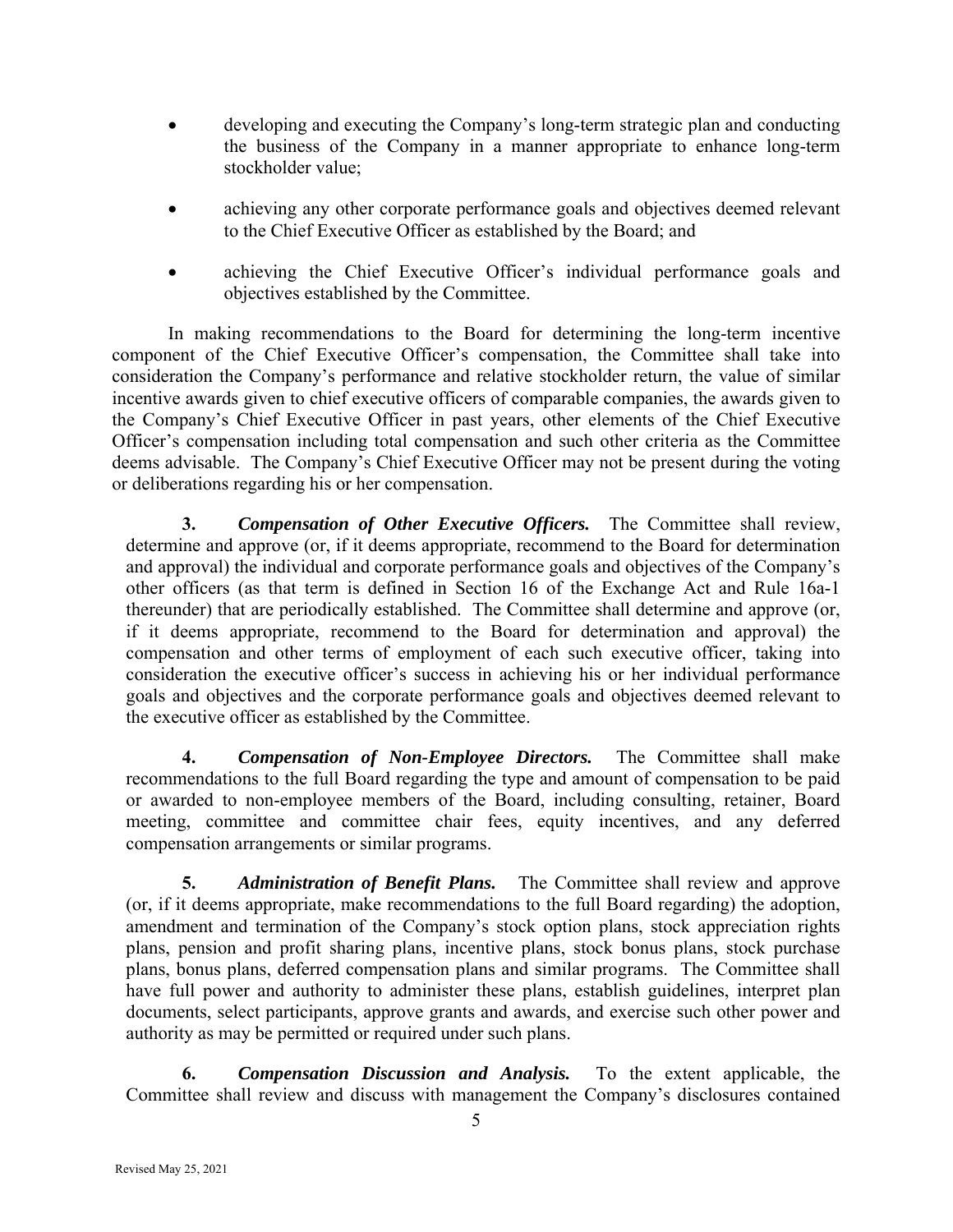- developing and executing the Company's long-term strategic plan and conducting the business of the Company in a manner appropriate to enhance long-term stockholder value;
- achieving any other corporate performance goals and objectives deemed relevant to the Chief Executive Officer as established by the Board; and
- achieving the Chief Executive Officer's individual performance goals and objectives established by the Committee.

In making recommendations to the Board for determining the long-term incentive component of the Chief Executive Officer's compensation, the Committee shall take into consideration the Company's performance and relative stockholder return, the value of similar incentive awards given to chief executive officers of comparable companies, the awards given to the Company's Chief Executive Officer in past years, other elements of the Chief Executive Officer's compensation including total compensation and such other criteria as the Committee deems advisable. The Company's Chief Executive Officer may not be present during the voting or deliberations regarding his or her compensation.

**3.** *Compensation of Other Executive Officers.* The Committee shall review, determine and approve (or, if it deems appropriate, recommend to the Board for determination and approval) the individual and corporate performance goals and objectives of the Company's other officers (as that term is defined in Section 16 of the Exchange Act and Rule 16a-1 thereunder) that are periodically established. The Committee shall determine and approve (or, if it deems appropriate, recommend to the Board for determination and approval) the compensation and other terms of employment of each such executive officer, taking into consideration the executive officer's success in achieving his or her individual performance goals and objectives and the corporate performance goals and objectives deemed relevant to the executive officer as established by the Committee.

**4.** *Compensation of Non-Employee Directors.* The Committee shall make recommendations to the full Board regarding the type and amount of compensation to be paid or awarded to non-employee members of the Board, including consulting, retainer, Board meeting, committee and committee chair fees, equity incentives, and any deferred compensation arrangements or similar programs.

**5.** *Administration of Benefit Plans.* The Committee shall review and approve (or, if it deems appropriate, make recommendations to the full Board regarding) the adoption, amendment and termination of the Company's stock option plans, stock appreciation rights plans, pension and profit sharing plans, incentive plans, stock bonus plans, stock purchase plans, bonus plans, deferred compensation plans and similar programs. The Committee shall have full power and authority to administer these plans, establish guidelines, interpret plan documents, select participants, approve grants and awards, and exercise such other power and authority as may be permitted or required under such plans.

**6.** *Compensation Discussion and Analysis.* To the extent applicable, the Committee shall review and discuss with management the Company's disclosures contained